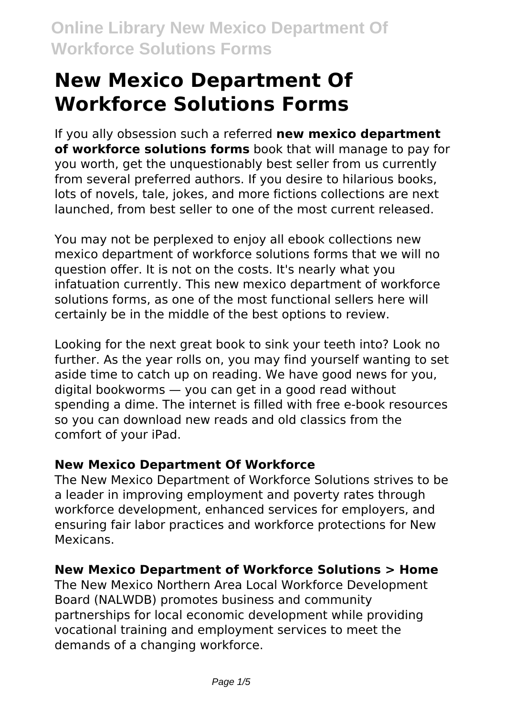# **New Mexico Department Of Workforce Solutions Forms**

If you ally obsession such a referred **new mexico department of workforce solutions forms** book that will manage to pay for you worth, get the unquestionably best seller from us currently from several preferred authors. If you desire to hilarious books, lots of novels, tale, jokes, and more fictions collections are next launched, from best seller to one of the most current released.

You may not be perplexed to enjoy all ebook collections new mexico department of workforce solutions forms that we will no question offer. It is not on the costs. It's nearly what you infatuation currently. This new mexico department of workforce solutions forms, as one of the most functional sellers here will certainly be in the middle of the best options to review.

Looking for the next great book to sink your teeth into? Look no further. As the year rolls on, you may find yourself wanting to set aside time to catch up on reading. We have good news for you, digital bookworms — you can get in a good read without spending a dime. The internet is filled with free e-book resources so you can download new reads and old classics from the comfort of your iPad.

#### **New Mexico Department Of Workforce**

The New Mexico Department of Workforce Solutions strives to be a leader in improving employment and poverty rates through workforce development, enhanced services for employers, and ensuring fair labor practices and workforce protections for New Mexicans.

#### **New Mexico Department of Workforce Solutions > Home**

The New Mexico Northern Area Local Workforce Development Board (NALWDB) promotes business and community partnerships for local economic development while providing vocational training and employment services to meet the demands of a changing workforce.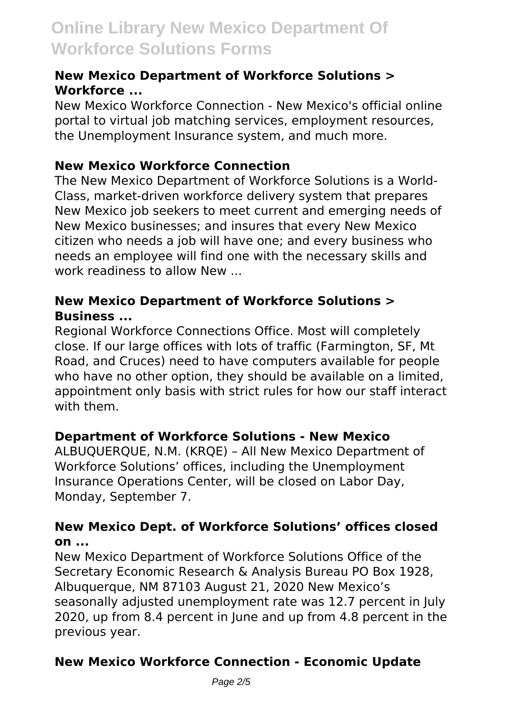#### **New Mexico Department of Workforce Solutions > Workforce ...**

New Mexico Workforce Connection - New Mexico's official online portal to virtual job matching services, employment resources, the Unemployment Insurance system, and much more.

#### **New Mexico Workforce Connection**

The New Mexico Department of Workforce Solutions is a World-Class, market-driven workforce delivery system that prepares New Mexico job seekers to meet current and emerging needs of New Mexico businesses; and insures that every New Mexico citizen who needs a job will have one; and every business who needs an employee will find one with the necessary skills and work readiness to allow New ...

#### **New Mexico Department of Workforce Solutions > Business ...**

Regional Workforce Connections Office. Most will completely close. If our large offices with lots of traffic (Farmington, SF, Mt Road, and Cruces) need to have computers available for people who have no other option, they should be available on a limited. appointment only basis with strict rules for how our staff interact with them.

### **Department of Workforce Solutions - New Mexico**

ALBUQUERQUE, N.M. (KRQE) – All New Mexico Department of Workforce Solutions' offices, including the Unemployment Insurance Operations Center, will be closed on Labor Day, Monday, September 7.

#### **New Mexico Dept. of Workforce Solutions' offices closed on ...**

New Mexico Department of Workforce Solutions Office of the Secretary Economic Research & Analysis Bureau PO Box 1928, Albuquerque, NM 87103 August 21, 2020 New Mexico's seasonally adjusted unemployment rate was 12.7 percent in July 2020, up from 8.4 percent in June and up from 4.8 percent in the previous year.

## **New Mexico Workforce Connection - Economic Update**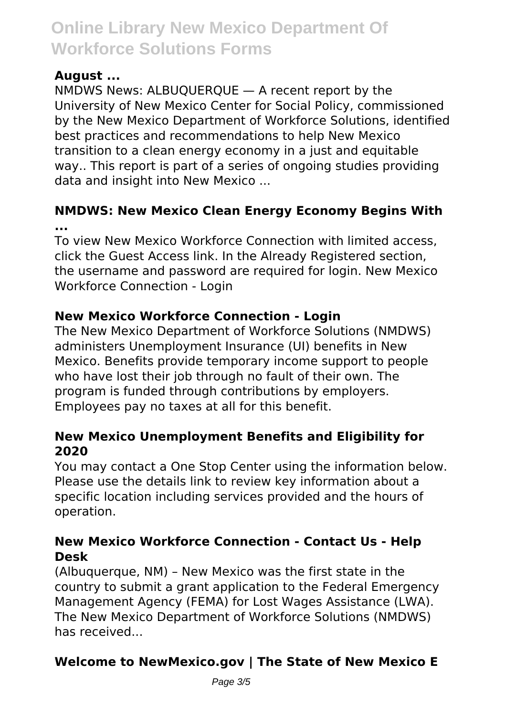### **August ...**

NMDWS News: ALBUQUERQUE — A recent report by the University of New Mexico Center for Social Policy, commissioned by the New Mexico Department of Workforce Solutions, identified best practices and recommendations to help New Mexico transition to a clean energy economy in a just and equitable way.. This report is part of a series of ongoing studies providing data and insight into New Mexico ...

#### **NMDWS: New Mexico Clean Energy Economy Begins With ...**

To view New Mexico Workforce Connection with limited access, click the Guest Access link. In the Already Registered section, the username and password are required for login. New Mexico Workforce Connection - Login

### **New Mexico Workforce Connection - Login**

The New Mexico Department of Workforce Solutions (NMDWS) administers Unemployment Insurance (UI) benefits in New Mexico. Benefits provide temporary income support to people who have lost their job through no fault of their own. The program is funded through contributions by employers. Employees pay no taxes at all for this benefit.

#### **New Mexico Unemployment Benefits and Eligibility for 2020**

You may contact a One Stop Center using the information below. Please use the details link to review key information about a specific location including services provided and the hours of operation.

#### **New Mexico Workforce Connection - Contact Us - Help Desk**

(Albuquerque, NM) – New Mexico was the first state in the country to submit a grant application to the Federal Emergency Management Agency (FEMA) for Lost Wages Assistance (LWA). The New Mexico Department of Workforce Solutions (NMDWS) has received...

## **Welcome to NewMexico.gov | The State of New Mexico E**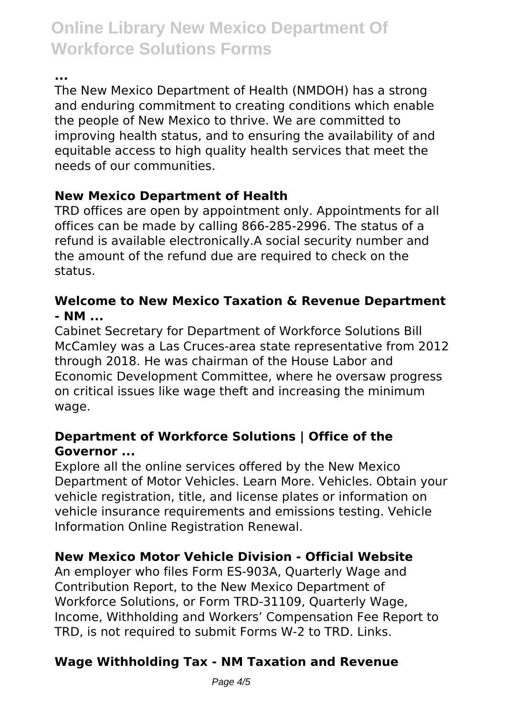**...**

The New Mexico Department of Health (NMDOH) has a strong and enduring commitment to creating conditions which enable the people of New Mexico to thrive. We are committed to improving health status, and to ensuring the availability of and equitable access to high quality health services that meet the needs of our communities.

## **New Mexico Department of Health**

TRD offices are open by appointment only. Appointments for all offices can be made by calling 866-285-2996. The status of a refund is available electronically.A social security number and the amount of the refund due are required to check on the status.

#### **Welcome to New Mexico Taxation & Revenue Department - NM ...**

Cabinet Secretary for Department of Workforce Solutions Bill McCamley was a Las Cruces-area state representative from 2012 through 2018. He was chairman of the House Labor and Economic Development Committee, where he oversaw progress on critical issues like wage theft and increasing the minimum wage.

### **Department of Workforce Solutions | Office of the Governor ...**

Explore all the online services offered by the New Mexico Department of Motor Vehicles. Learn More. Vehicles. Obtain your vehicle registration, title, and license plates or information on vehicle insurance requirements and emissions testing. Vehicle Information Online Registration Renewal.

## **New Mexico Motor Vehicle Division - Official Website**

An employer who files Form ES-903A, Quarterly Wage and Contribution Report, to the New Mexico Department of Workforce Solutions, or Form TRD-31109, Quarterly Wage, Income, Withholding and Workers' Compensation Fee Report to TRD, is not required to submit Forms W-2 to TRD. Links.

## **Wage Withholding Tax - NM Taxation and Revenue**